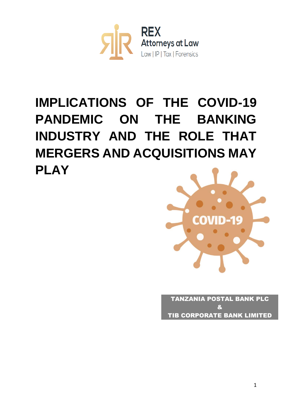

## **IMPLICATIONS OF THE COVID-19 PANDEMIC ON THE BANKING INDUSTRY AND THE ROLE THAT MERGERS AND ACQUISITIONS MAY PLAY**



TANZANIA POSTAL BANK PLC & TIB CORPORATE BANK LIMITED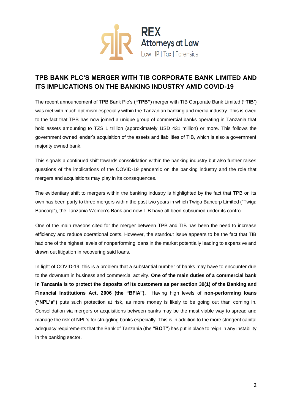

## **TPB BANK PLC'S MERGER WITH TIB CORPORATE BANK LIMITED AND ITS IMPLICATIONS ON THE BANKING INDUSTRY AMID COVID-19**

The recent announcement of TPB Bank Plc's (**"TPB"**) merger with TIB Corporate Bank Limited (**"TIB'**) was met with much optimism especially within the Tanzanian banking and media industry. This is owed to the fact that TPB has now joined a unique group of commercial banks operating in Tanzania that hold assets amounting to TZS 1 trillion (approximately USD 431 million) or more. This follows the government owned lender's acquisition of the assets and liabilities of TIB, which is also a government majority owned bank.

This signals a continued shift towards consolidation within the banking industry but also further raises questions of the implications of the COVID-19 pandemic on the banking industry and the role that mergers and acquisitions may play in its consequences.

The evidentiary shift to mergers within the banking industry is highlighted by the fact that TPB on its own has been party to three mergers within the past two years in which Twiga Bancorp Limited ("Twiga Bancorp"), the Tanzania Women's Bank and now TIB have all been subsumed under its control.

One of the main reasons cited for the merger between TPB and TIB has been the need to increase efficiency and reduce operational costs. However, the standout issue appears to be the fact that TIB had one of the highest levels of nonperforming loans in the market potentially leading to expensive and drawn out litigation in recovering said loans.

In light of COVID-19, this is a problem that a substantial number of banks may have to encounter due to the downturn in business and commercial activity. **One of the main duties of a commercial bank in Tanzania is to protect the deposits of its customers as per section 39(1) of the Banking and Financial Institutions Act, 2006 (the "BFIA").** Having high levels of **non-performing loans ("NPL's")** puts such protection at risk, as more money is likely to be going out than coming in. Consolidation via mergers or acquisitions between banks may be the most viable way to spread and manage the risk of NPL's for struggling banks especially. This is in addition to the more stringent capital adequacy requirements that the Bank of Tanzania (the **"BOT"**) has put in place to reign in any instability in the banking sector.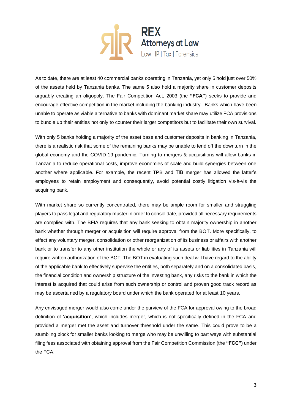

As to date, there are at least 40 commercial banks operating in Tanzania, yet only 5 hold just over 50% of the assets held by Tanzania banks. The same 5 also hold a majority share in customer deposits arguably creating an oligopoly. The Fair Competition Act, 2003 (the **"FCA"**) seeks to provide and encourage effective competition in the market including the banking industry. Banks which have been unable to operate as viable alternative to banks with dominant market share may utilize FCA provisions to bundle up their entities not only to counter their larger competitors but to facilitate their own survival.

With only 5 banks holding a majority of the asset base and customer deposits in banking in Tanzania, there is a realistic risk that some of the remaining banks may be unable to fend off the downturn in the global economy and the COVID-19 pandemic. Turning to mergers & acquisitions will allow banks in Tanzania to reduce operational costs, improve economies of scale and build synergies between one another where applicable. For example, the recent TPB and TIB merger has allowed the latter's employees to retain employment and consequently, avoid potential costly litigation vis-à-vis the acquiring bank.

With market share so currently concentrated, there may be ample room for smaller and struggling players to pass legal and regulatory muster in order to consolidate, provided all necessary requirements are complied with. The BFIA requires that any bank seeking to obtain majority ownership in another bank whether through merger or acquisition will require approval from the BOT. More specifically, to effect any voluntary merger, consolidation or other reorganization of its business or affairs with another bank or to transfer to any other institution the whole or any of its assets or liabilities in Tanzania will require written authorization of the BOT. The BOT in evaluating such deal will have regard to the ability of the applicable bank to effectively supervise the entities, both separately and on a consolidated basis, the financial condition and ownership structure of the investing bank, any risks to the bank in which the interest is acquired that could arise from such ownership or control and proven good track record as may be ascertained by a regulatory board under which the bank operated for at least 10 years.

Any envisaged merger would also come under the purview of the FCA for approval owing to the broad definition of '**acquisition'**, which includes merger, which is not specifically defined in the FCA and provided a merger met the asset and turnover threshold under the same. This could prove to be a stumbling block for smaller banks looking to merge who may be unwilling to part ways with substantial filing fees associated with obtaining approval from the Fair Competition Commission (the **"FCC"**) under the FCA.